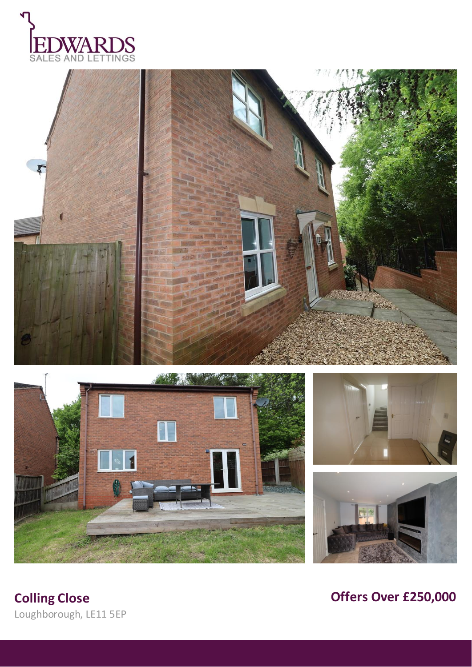









**Colling Close Offers Over £250,000** 

Loughborough, LE11 5EP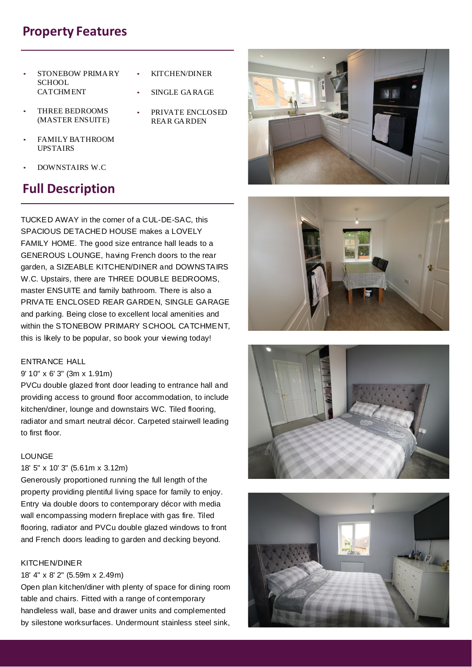## **Property Features**

- STONEBOW PRIMARY **SCHOOL CATCHMENT**
- KITCHEN/DINER
- SINGLE GARAGE
- THREE BEDROOMS (MASTER ENSUITE)
- PRIVATE ENCLOSED REAR GARDEN
- FAMILY BATHROOM UPSTAIRS
- DOWNSTAIRS W.C

# **Full Description**

TUCKED AWAY in the corner of a CUL-DE-SAC, this SPACIOUS DETACHED HOUSE makes a LOVELY FAMILY HOME. The good size entrance hall leads to a GENEROUS LOUNGE, having French doors to the rear garden, a SIZEABLE KITCHEN/DINER and DOWNSTAIRS W.C. Upstairs, there are THREE DOUBLE BEDROOMS, master ENSUITE and family bathroom. There is also a PRIVATE ENCLOSED REAR GARDEN, SINGLE GARAGE and parking. Being close to excellent local amenities and within the STONEBOW PRIMARY SCHOOL CATCHMENT, this is likely to be popular, so book your viewing today!

## ENTRANCE HALL

## 9' 10" x 6' 3" (3m x 1.91m)

PVCu double glazed front door leading to entrance hall and providing access to ground floor accommodation, to include kitchen/diner, lounge and downstairs WC. Tiled flooring, radiator and smart neutral décor. Carpeted stairwell leading to first floor.

## LOUNGE

## 18' 5" x 10' 3" (5.61m x 3.12m)

Generously proportioned running the full length of the property providing plentiful living space for family to enjoy. Entry via double doors to contemporary décor with media wall encompassing modern fireplace with gas fire. Tiled flooring, radiator and PVCu double glazed windows to front and French doors leading to garden and decking beyond.

## KITCHEN/DINER

## 18' 4" x 8' 2" (5.59m x 2.49m)

Open plan kitchen/diner with plenty of space for dining room table and chairs. Fitted with a range of contemporary handleless wall, base and drawer units and complemented by silestone worksurfaces. Undermount stainless steel sink,







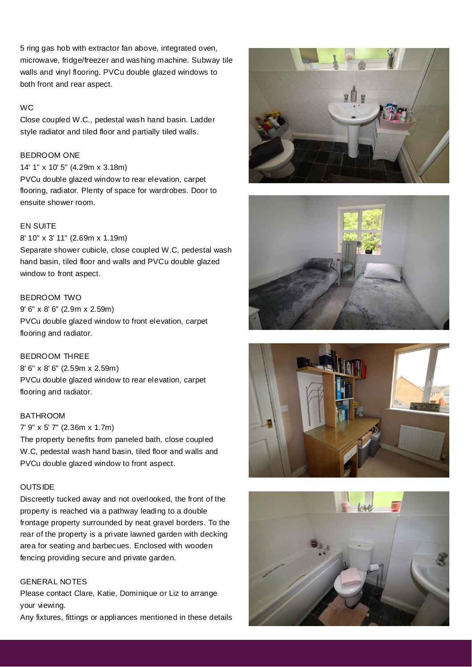5 ring gas hob with extractor fan above, integrated oven, microwave, fridge/freezer and washing machine. Subway tile walls and vinyl flooring. PVCu double glazed windows to both front and rear aspect.

#### WC

Close coupled W.C., pedestal wash hand basin. Ladder style radiator and tiled floor and partially tiled walls.

## BEDROOM ONE

#### 14' 1" x 10' 5" (4.29m x 3.18m)

PVCu double glazed window to rear elevation, carpet flooring, radiator. Plenty of space for wardrobes. Door to ensuite shower room.

## EN SUITE

#### 8' 10" x 3' 11" (2.69m x 1.19m)

Separate shower cubicle, close coupled W.C, pedestal wash hand basin, tiled floor and walls and PVCu double glazed window to front aspect.

#### BEDROOM TWO

9' 6" x 8' 6" (2.9m x 2.59m) PVCu double glazed window to front elevation, carpet flooring and radiator.

## BEDROOM THREE

8' 6" x 8' 6" (2.59m x 2.59m) PVCu double glazed window to rear elevation, carpet flooring and radiator.

#### BATHROOM

#### 7' 9" x 5' 7" (2.36m x 1.7m)

The property benefits from paneled bath, close coupled W.C, pedestal wash hand basin, tiled floor and walls and PVCu double glazed window to front aspect.

#### **OUTSIDE**

Discreetly tucked away and not overlooked, the front of the property is reached via a pathway leading to a double frontage property surrounded by neat gravel borders. To the rear of the property is a private lawned garden with decking area for seating and barbecues. Enclosed with wooden fencing providing secure and private garden.

## GENERAL NOTES

Please contact Clare, Katie, Dominique or Liz to arrange your viewing.

Any fixtures, fittings or appliances mentioned in these details